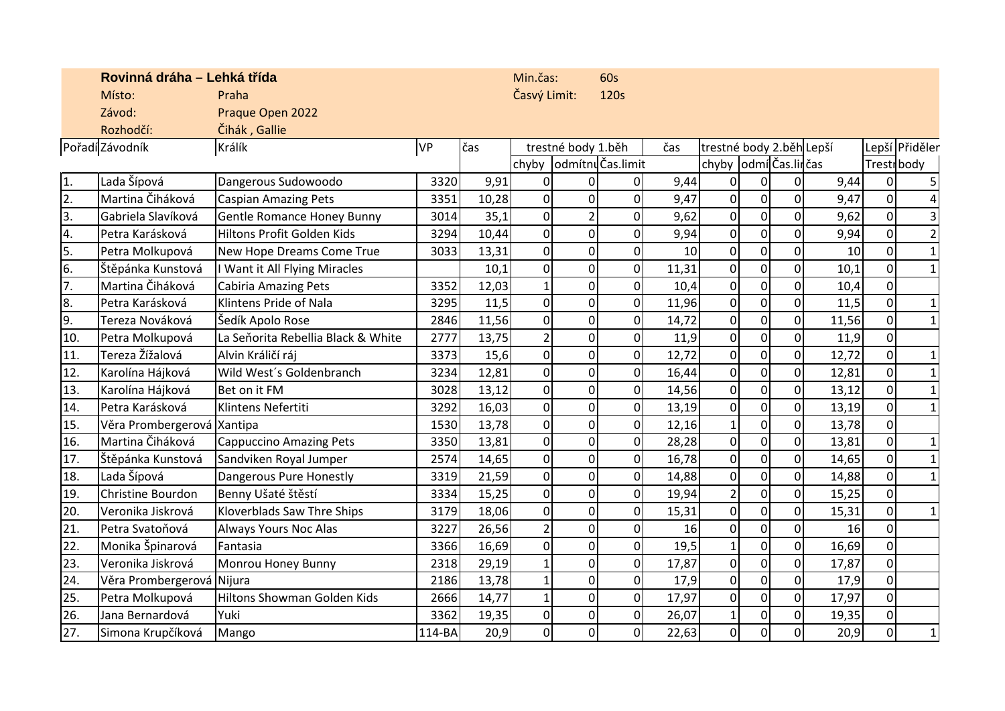|                  | Rovinná dráha – Lehká třída |                                    |           |       | Min.čas:       |                    | 60s                     |                 |                          |                  |                |       |                        |                |
|------------------|-----------------------------|------------------------------------|-----------|-------|----------------|--------------------|-------------------------|-----------------|--------------------------|------------------|----------------|-------|------------------------|----------------|
|                  | Místo:                      | Praha                              |           |       | Časvý Limit:   |                    | 120s                    |                 |                          |                  |                |       |                        |                |
|                  | Závod:                      | Praque Open 2022                   |           |       |                |                    |                         |                 |                          |                  |                |       |                        |                |
|                  | Rozhodčí:                   | Čihák, Gallie                      |           |       |                |                    |                         |                 |                          |                  |                |       |                        |                |
|                  | Pořadí Závodník             | Králík                             | <b>VP</b> | čas   |                | trestné body 1.běh |                         | čas             | trestné body 2.běh Lepší |                  |                |       |                        | Lepší Přiděler |
|                  |                             |                                    |           |       |                |                    | chyby odmítnu Čas.limit |                 | chyby odmí Čas.linčas    |                  |                |       | Trestr <sub>body</sub> |                |
| 1.               | Lada Šípová                 | Dangerous Sudowoodo                | 3320      | 9,91  | $\Omega$       | O                  | $\overline{0}$          | 9,44            | $\overline{0}$           | 0                | 0              | 9,44  |                        |                |
| $\overline{2}$ . | Martina Čiháková            | <b>Caspian Amazing Pets</b>        | 3351      | 10,28 | 0              | $\Omega$           | $\overline{0}$          | 9,47            | $\overline{0}$           | $\mathbf 0$      | $\overline{0}$ | 9,47  | $\Omega$               |                |
| $\overline{3}$ . | Gabriela Slavíková          | <b>Gentle Romance Honey Bunny</b>  | 3014      | 35,1  | $\Omega$       | $\overline{2}$     | $\overline{0}$          | 9,62            | $\overline{0}$           | $\mathbf 0$      | $\overline{0}$ | 9,62  | $\Omega$               | 3              |
| 4.               | Petra Karásková             | Hiltons Profit Golden Kids         | 3294      | 10,44 | $\overline{0}$ | $\Omega$           | $\overline{0}$          | 9,94            | $\overline{0}$           | $\mathbf 0$      | $\overline{0}$ | 9,94  | $\Omega$               | $\overline{2}$ |
| 5.               | Petra Molkupová             | New Hope Dreams Come True          | 3033      | 13,31 | $\overline{0}$ | $\Omega$           | $\overline{0}$          | 10 <sup>1</sup> | $\Omega$                 | $\overline{0}$   | $\overline{0}$ | 10    | $\Omega$               |                |
| 6.               | Štěpánka Kunstová           | I Want it All Flying Miracles      |           | 10,1  | 0              | $\overline{0}$     | $\overline{0}$          | 11,31           | $\mathbf 0$              | $\mathbf 0$      | $\overline{0}$ | 10,1  | $\Omega$               |                |
| 7.               | Martina Čiháková            | <b>Cabiria Amazing Pets</b>        | 3352      | 12,03 | $\mathbf{1}$   | $\Omega$           | $\mathbf 0$             | 10,4            | $\Omega$                 | $\pmb{0}$        | 0              | 10,4  | $\Omega$               |                |
| 8.               | Petra Karásková             | Klintens Pride of Nala             | 3295      | 11,5  | $\Omega$       | $\Omega$           | $\overline{0}$          | 11,96           | $\overline{0}$           | $\overline{0}$   | $\overline{0}$ | 11,5  | $\Omega$               |                |
| 9.               | Tereza Nováková             | Šedík Apolo Rose                   | 2846      | 11,56 | 0              | $\mathbf 0$        | $\mathbf 0$             | 14,72           | $\overline{0}$           | $\mathbf 0$      | $\overline{0}$ | 11,56 | $\Omega$               |                |
| 10.              | Petra Molkupová             | La Seňorita Rebellia Black & White | 2777      | 13,75 | $\overline{2}$ | $\mathbf{0}$       | $\mathbf 0$             | 11,9            | $\overline{0}$           | $\boldsymbol{0}$ | $\overline{0}$ | 11,9  | $\Omega$               |                |
| 11.              | Tereza Žížalová             | Alvin Králičí ráj                  | 3373      | 15,6  | $\Omega$       | $\Omega$           | $\overline{0}$          | 12,72           | $\overline{0}$           | $\overline{0}$   | $\overline{0}$ | 12,72 | $\Omega$               |                |
| 12.              | Karolína Hájková            | Wild West's Goldenbranch           | 3234      | 12,81 | $\overline{0}$ | $\Omega$           | $\overline{0}$          | 16,44           | $\overline{0}$           | $\mathbf 0$      | $\overline{0}$ | 12,81 | $\Omega$               |                |
| 13.              | Karolína Hájková            | Bet on it FM                       | 3028      | 13,12 | $\overline{0}$ | $\Omega$           | $\overline{0}$          | 14,56           | $\overline{0}$           | $\overline{0}$   | $\overline{0}$ | 13,12 | $\Omega$               |                |
| 14.              | Petra Karásková             | Klintens Nefertiti                 | 3292      | 16,03 | $\overline{0}$ | $\Omega$           | $\overline{0}$          | 13,19           | $\overline{0}$           | $\mathbf 0$      | $\overline{0}$ | 13,19 | $\Omega$               |                |
| 15.              | Věra Prombergerová Xantipa  |                                    | 1530      | 13,78 | 0              | $\Omega$           | $\mathbf 0$             | 12,16           | $\mathbf{1}$             | $\pmb{0}$        | $\overline{0}$ | 13,78 | $\Omega$               |                |
| 16.              | Martina Čiháková            | <b>Cappuccino Amazing Pets</b>     | 3350      | 13,81 | $\overline{0}$ | $\Omega$           | $\overline{0}$          | 28,28           | $\overline{0}$           | $\overline{0}$   | $\overline{0}$ | 13,81 | $\Omega$               |                |
| 17.              | Štěpánka Kunstová           | Sandviken Royal Jumper             | 2574      | 14,65 | 0              | $\mathbf{0}$       | $\overline{0}$          | 16,78           | $\overline{0}$           | 0                | $\overline{0}$ | 14,65 | $\Omega$               |                |
| 18.              | Lada Šípová                 | Dangerous Pure Honestly            | 3319      | 21,59 | 0              | $\mathbf 0$        | $\overline{0}$          | 14,88           | $\overline{0}$           | $\boldsymbol{0}$ | $\overline{0}$ | 14,88 | $\Omega$               |                |
| 19.              | Christine Bourdon           | Benny Ušaté štěstí                 | 3334      | 15,25 | $\Omega$       | $\Omega$           | $\overline{0}$          | 19,94           | $\overline{2}$           | $\mathbf 0$      | $\overline{0}$ | 15,25 | $\Omega$               |                |
| 20.              | Veronika Jiskrová           | Kloverblads Saw Thre Ships         | 3179      | 18,06 | $\overline{0}$ | $\Omega$           | $\mathbf 0$             | 15,31           | $\overline{0}$           | $\mathbf 0$      | $\overline{0}$ | 15,31 | $\Omega$               |                |
| 21.              | Petra Svatoňová             | Always Yours Noc Alas              | 3227      | 26,56 | $\overline{2}$ | $\Omega$           | $\mathbf 0$             | 16              | $\overline{0}$           | $\mathbf 0$      | $\overline{0}$ | 16    | $\Omega$               |                |
| 22.              | Monika Špinarová            | Fantasia                           | 3366      | 16,69 | $\Omega$       | $\Omega$           | $\overline{0}$          | 19,5            |                          | $\mathbf 0$      | $\overline{0}$ | 16,69 | $\Omega$               |                |
| 23.              | Veronika Jiskrová           | Monrou Honey Bunny                 | 2318      | 29,19 | 1              | $\overline{0}$     | $\mathbf 0$             | 17,87           | $\overline{0}$           | $\pmb{0}$        | $\overline{0}$ | 17,87 | $\Omega$               |                |
| 24.              | Věra Prombergerová Nijura   |                                    | 2186      | 13,78 | $\mathbf{1}$   | $\Omega$           | $\mathbf 0$             | 17,9            | $\overline{0}$           | $\boldsymbol{0}$ | $\overline{0}$ | 17,9  | $\Omega$               |                |
| 25.              | Petra Molkupová             | Hiltons Showman Golden Kids        | 2666      | 14,77 | 1              | $\overline{0}$     | $\overline{0}$          | 17,97           | $\overline{0}$           | $\overline{0}$   | $\overline{0}$ | 17,97 | $\Omega$               |                |
| 26.              | Jana Bernardová             | Yuki                               | 3362      | 19,35 | $\Omega$       | $\mathbf 0$        | $\overline{0}$          | 26,07           | $\mathbf{1}$             | $\overline{0}$   | $\overline{0}$ | 19,35 | $\overline{0}$         |                |
| 27.              | Simona Krupčíková           | Mango                              | 114-BA    | 20,9  | $\Omega$       | $\Omega$           | $\overline{0}$          | 22,63           | $\overline{0}$           | $\overline{0}$   | $\overline{0}$ | 20,9  | $\Omega$               |                |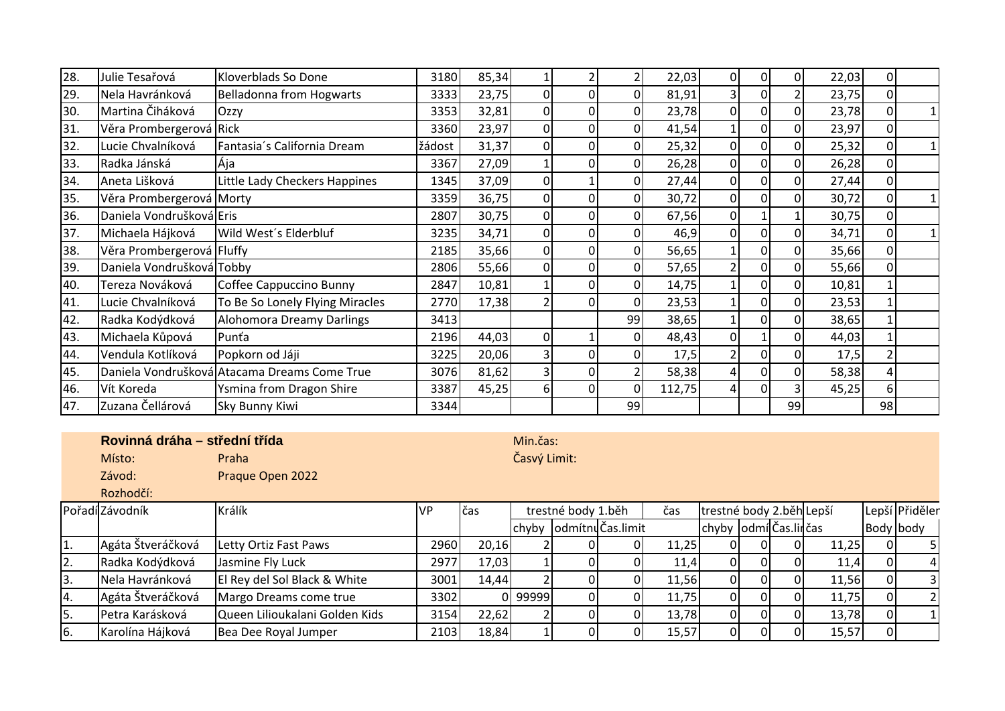| 28. | Julie Tesařová            | Kloverblads So Done                          | 3180   | 85,34 |                |              | 22,03  |    |    | 22,03 | 01 |                |
|-----|---------------------------|----------------------------------------------|--------|-------|----------------|--------------|--------|----|----|-------|----|----------------|
| 29. | Nela Havránková           | Belladonna from Hogwarts                     | 3333   | 23,75 |                |              | 81,91  |    |    | 23,75 | 01 |                |
| 30. | Martina Čiháková          | Ozzy                                         | 3353   | 32,81 | 01             | 0            | 23,78  |    |    | 23,78 | 0  | 1 <sup>1</sup> |
| 31. | Věra Prombergerová Rick   |                                              | 3360   | 23,97 | 01             |              | 41,54  |    |    | 23,97 | 0  |                |
| 32. | Lucie Chvalníková         | Fantasia's California Dream                  | žádost | 31,37 |                |              | 25,32  |    |    | 25,32 | Οl |                |
| 33. | Radka Jánská              | Ája                                          | 3367   | 27,09 |                |              | 26,28  |    |    | 26,28 | 0  |                |
| 34. | Aneta Lišková             | Little Lady Checkers Happines                | 1345   | 37,09 |                | 0            | 27,44  |    |    | 27,44 | 0  |                |
| 35. | Věra Prombergerová Morty  |                                              | 3359   | 36,75 | 01             | 0            | 30,72  |    |    | 30,72 | 01 |                |
| 36. | Daniela Vondrušková Eris  |                                              | 2807   | 30,75 | 01             | $\Omega$     | 67,56  |    |    | 30,75 | 0  |                |
| 37. | Michaela Hájková          | Wild West's Elderbluf                        | 3235   | 34,71 | $\overline{0}$ |              | 46,9   |    |    | 34,71 | 01 |                |
| 38. | Věra Prombergerová Fluffy |                                              | 2185   | 35,66 |                |              | 56,65  |    |    | 35,66 | 0  |                |
| 39. | Daniela Vondrušková Tobby |                                              | 2806   | 55,66 |                |              | 57,65  |    |    | 55,66 | 0  |                |
| 40. | Tereza Nováková           | Coffee Cappuccino Bunny                      | 2847   | 10,81 |                | 0            | 14,75  | ΩI |    | 10,81 |    |                |
| 41. | Lucie Chvalníková         | To Be So Lonely Flying Miracles              | 2770   | 17,38 |                |              | 23,53  |    |    | 23,53 |    |                |
| 42. | Radka Kodýdková           | Alohomora Dreamy Darlings                    | 3413   |       |                | 99           | 38,65  |    |    | 38,65 |    |                |
| 43. | Michaela Kůpová           | Punta                                        | 2196   | 44,03 | 0              | <sup>0</sup> | 48,43  |    |    | 44,03 |    |                |
| 44. | Vendula Kotlíková         | Popkorn od Jáji                              | 3225   | 20,06 |                |              | 17,5   |    |    | 17,5  |    |                |
| 45. |                           | Daniela Vondrušková Atacama Dreams Come True | 3076   | 81,62 |                |              | 58,38  |    |    | 58,38 |    |                |
| 46. | Vít Koreda                | Ysmina from Dragon Shire                     | 3387   | 45,25 | 61             | 0            | 112,75 | 01 |    | 45,25 | 6  |                |
| 47. | Zuzana Čellárová          | <b>Sky Bunny Kiwi</b>                        | 3344   |       |                | 99           |        |    | 99 |       | 98 |                |

|     | Rovinná dráha – střední třída |                                |      |       | Min. čas:    |                    |                        |       |                          |  |       |          |                |
|-----|-------------------------------|--------------------------------|------|-------|--------------|--------------------|------------------------|-------|--------------------------|--|-------|----------|----------------|
|     | Místo:                        | Praha                          |      |       | Časvý Limit: |                    |                        |       |                          |  |       |          |                |
|     | Závod:                        | Praque Open 2022               |      |       |              |                    |                        |       |                          |  |       |          |                |
|     | Rozhodčí:                     |                                |      |       |              |                    |                        |       |                          |  |       |          |                |
|     | Pořadí Závodník               | Králík                         | VP   | čas   |              | trestné body 1.běh |                        | čas   | trestné body 2.běh Lepší |  |       |          | Lepší Přiděler |
|     |                               |                                |      |       |              |                    | chyby odmítnuČas.limit |       | chyby odmíčas.lircas     |  |       |          | Body body      |
|     | Agáta Štveráčková             | Letty Ortiz Fast Paws          | 2960 | 20,16 |              |                    |                        | 11,25 |                          |  | 11,25 |          |                |
| 2.  | Radka Kodýdková               | Jasmine Fly Luck               | 2977 | 17,03 |              |                    |                        | 11,4  |                          |  | 11,4  |          |                |
| Ι3. | Nela Havránková               | El Rey del Sol Black & White   | 3001 | 14,44 |              |                    |                        | 11,56 |                          |  | 11,56 | 0        |                |
| I4. | Agáta Štveráčková             | Margo Dreams come true         | 3302 |       | 0 99999      |                    |                        | 11,75 |                          |  | 11,75 | $\Omega$ |                |
| ١5. | Petra Karásková               | Queen Lilioukalani Golden Kids | 3154 | 22,62 |              |                    |                        | 13,78 |                          |  | 13,78 | ΩI       |                |
| Iб. | Karolína Hájková              | Bea Dee Royal Jumper           | 2103 | 18,84 |              |                    |                        | 15,57 |                          |  | 15,57 | $\Omega$ |                |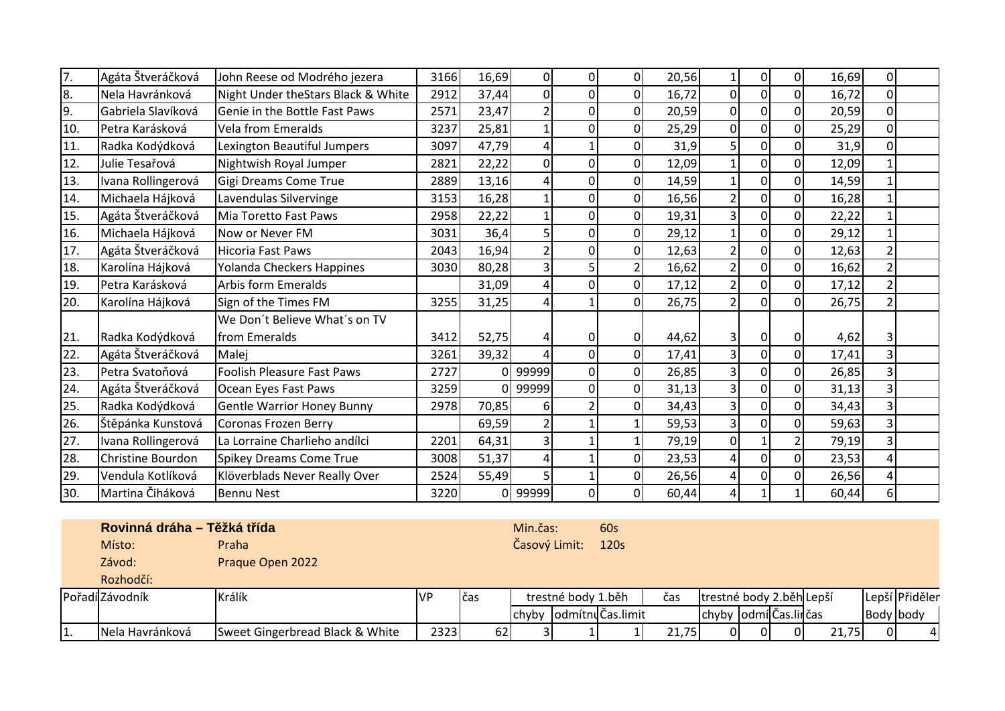|     | Agáta Štveráčková  | John Reese od Modrého jezera       | 3166 | 16,69 | $\overline{0}$ | $\overline{0}$ | $\Omega$ | 20,56 |                | 0        | 0              | 16,69 | 0              |  |
|-----|--------------------|------------------------------------|------|-------|----------------|----------------|----------|-------|----------------|----------|----------------|-------|----------------|--|
| 8.  | Nela Havránková    | Night Under theStars Black & White | 2912 | 37,44 | $\overline{0}$ | $\overline{0}$ | $\Omega$ | 16,72 | 0              | 0        | $\overline{0}$ | 16,72 | 0              |  |
| 9.  | Gabriela Slavíková | Genie in the Bottle Fast Paws      | 2571 | 23,47 |                | $\Omega$       | $\Omega$ | 20,59 | $\overline{0}$ | 0        | $\overline{0}$ | 20,59 | 0              |  |
| 10. | Petra Karásková    | <b>Vela from Emeralds</b>          | 3237 | 25,81 |                | $\Omega$       | $\Omega$ | 25,29 | $\overline{0}$ | 0        | $\overline{0}$ | 25,29 | 0              |  |
| 11. | Radka Kodýdková    | Lexington Beautiful Jumpers        | 3097 | 47,79 | Δ              |                | 0        | 31,9  | 5              | 0        | $\overline{0}$ | 31,9  | 0              |  |
| 12. | Julie Tesařová     | Nightwish Royal Jumper             | 2821 | 22,22 |                | 0              | $\Omega$ | 12,09 |                | 0        | $\overline{0}$ | 12,09 |                |  |
| 13. | Ivana Rollingerová | Gigi Dreams Come True              | 2889 | 13,16 |                | $\Omega$       | 0        | 14,59 |                | 0        | $\overline{0}$ | 14,59 |                |  |
| 14. | Michaela Hájková   | Lavendulas Silvervinge             | 3153 | 16,28 |                | $\Omega$       | 0        | 16,56 |                | 0        | $\overline{0}$ | 16,28 |                |  |
| 15. | Agáta Štveráčková  | Mia Toretto Fast Paws              | 2958 | 22,22 |                | $\Omega$       | 0        | 19,31 |                | 0        | $\overline{0}$ | 22,22 |                |  |
| 16. | Michaela Hájková   | Now or Never FM                    | 3031 | 36,4  |                | $\Omega$       | $\Omega$ | 29,12 |                | 0        | $\overline{0}$ | 29,12 |                |  |
| 17. | Agáta Štveráčková  | <b>Hicoria Fast Paws</b>           | 2043 | 16,94 |                | $\Omega$       | U        | 12,63 |                | 0        | $\overline{0}$ | 12,63 | $\overline{c}$ |  |
| 18. | Karolína Hájková   | Yolanda Checkers Happines          | 3030 | 80,28 |                | 5              |          | 16,62 |                | 0        | $\overline{0}$ | 16,62 | $\overline{2}$ |  |
| 19. | Petra Karásková    | <b>Arbis form Emeralds</b>         |      | 31,09 | 4              | $\Omega$       | 0        | 17,12 |                | $\Omega$ | $\Omega$       | 17,12 | $\overline{2}$ |  |
| 20. | Karolína Hájková   | Sign of the Times FM               | 3255 | 31,25 | 4              | 1              | $\Omega$ | 26,75 | $\overline{2}$ | 0        | $\Omega$       | 26,75 | $\overline{2}$ |  |
|     |                    | We Don't Believe What's on TV      |      |       |                |                |          |       |                |          |                |       |                |  |
| 21. | Radka Kodýdková    | from Emeralds                      | 3412 | 52,75 |                | $\Omega$       | 0        | 44,62 | 31             | 0        | $\overline{0}$ | 4,62  | 3              |  |
| 22. | Agáta Štveráčková  | Malej                              | 3261 | 39,32 |                | $\Omega$       | $\Omega$ | 17,41 | 3              | 0        | $\overline{0}$ | 17,41 | 3              |  |
| 23. | Petra Svatoňová    | <b>Foolish Pleasure Fast Paws</b>  | 2727 |       | 99999          | $\Omega$       | $\Omega$ | 26,85 | 3              | 0        | <sub>0</sub>   | 26,85 | 3              |  |
| 24. | Agáta Štveráčková  | Ocean Eyes Fast Paws               | 3259 | 0     | 99999          | $\Omega$       | $\Omega$ | 31,13 | 31             | 0        | $\overline{0}$ | 31,13 | 3              |  |
| 25. | Radka Kodýdková    | <b>Gentle Warrior Honey Bunny</b>  | 2978 | 70,85 | 6              |                | 0        | 34,43 | 3 <sup>1</sup> | 0        | $\overline{0}$ | 34,43 | 3              |  |
| 26. | Štěpánka Kunstová  | Coronas Frozen Berry               |      | 69,59 |                |                |          | 59,53 | 3 <sup>1</sup> | 0        | $\overline{0}$ | 59,63 | 3              |  |
| 27. | Ivana Rollingerová | La Lorraine Charlieho andílci      | 2201 | 64,31 |                |                |          | 79,19 | Οl             |          | $\overline{2}$ | 79,19 | 3              |  |
| 28. | Christine Bourdon  | <b>Spikey Dreams Come True</b>     | 3008 | 51,37 |                |                | $\Omega$ | 23,53 |                | 0        | $\overline{0}$ | 23,53 | 4              |  |
| 29. | Vendula Kotlíková  | Klöverblads Never Really Over      | 2524 | 55,49 |                |                | 0        | 26,56 |                |          | $\overline{0}$ | 26,56 | 4              |  |
| 30. | Martina Čiháková   | <b>Bennu Nest</b>                  | 3220 | ΩI    | 99999          | $\Omega$       | 0        | 60,44 | 4              |          |                | 60,44 | 6              |  |

|     | Rovinná dráha – Těžká třída |                                            |      |      | Min. čas:     |                        | 60s  |       |                          |    |       |                  |
|-----|-----------------------------|--------------------------------------------|------|------|---------------|------------------------|------|-------|--------------------------|----|-------|------------------|
|     | Místo:                      | Praha                                      |      |      | Časový Limit: |                        | 120s |       |                          |    |       |                  |
|     | Závod:                      | Praque Open 2022                           |      |      |               |                        |      |       |                          |    |       |                  |
|     | Rozhodčí:                   |                                            |      |      |               |                        |      |       |                          |    |       |                  |
|     | Pořadí Závodník             | Králík                                     |      | lčas |               | trestné body 1.běh     |      | čas   | trestné body 2.běh Lepší |    |       | Lepší Přiděler   |
|     |                             |                                            |      |      |               | chyby odmítnuČas.limit |      |       | chyby odmícas.linčas     |    |       | <b>Body</b> body |
| ı., | Nela Havránková             | <b>Sweet Gingerbread Black &amp; White</b> | 2323 | 62   |               |                        |      | 21,75 | ΟI                       | 0I | 21,75 | 41               |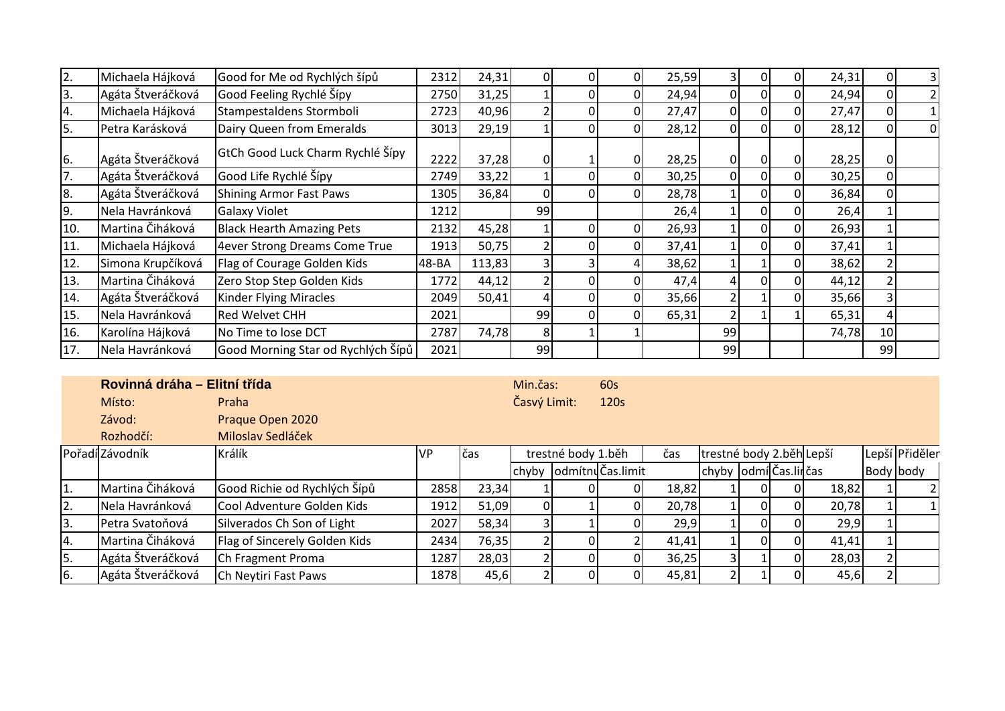| 2.  | Michaela Hájková             | Good for Me od Rychlých šípů       | 2312  | 24,31  | 01             | 0   | 25,59 |    | 01       | 0I | 24,31 | $\overline{0}$ | $\overline{3}$ |
|-----|------------------------------|------------------------------------|-------|--------|----------------|-----|-------|----|----------|----|-------|----------------|----------------|
| 3.  | Agáta Štveráčková            | Good Feeling Rychlé Šípy           | 2750  | 31,25  |                |     | 24,94 |    |          |    | 24,94 | 0              | $\overline{2}$ |
| 4.  | Michaela Hájková             | Stampestaldens Stormboli           | 2723  | 40,96  |                | 0   | 27,47 |    | $\Omega$ |    | 27,47 | 0              | 1 <sup>1</sup> |
| 5.  | Petra Karásková              | Dairy Queen from Emeralds          | 3013  | 29,19  |                | 0   | 28,12 |    | $\Omega$ | ΩI | 28,12 | 0              | $\overline{0}$ |
| 6.  | Agáta Štveráčková            | GtCh Good Luck Charm Rychlé Šípy   | 2222  | 37,28  |                |     | 28,25 |    |          |    | 28,25 | 0              |                |
| 7.  | Agáta Štveráčková            | Good Life Rychlé Šípy              | 2749  | 33,22  |                |     | 30,25 |    |          |    | 30,25 | 0              |                |
| 8.  | Agáta Štveráčková            | <b>Shining Armor Fast Paws</b>     | 1305  | 36,84  |                |     | 28,78 |    |          |    | 36,84 | 0              |                |
| 9.  | Nela Havránková              | Galaxy Violet                      | 1212  |        | 99             |     | 26,4  |    | ΩI       |    | 26,4  |                |                |
| 10. | Martina Čiháková             | <b>Black Hearth Amazing Pets</b>   | 2132  | 45,28  |                |     | 26,93 |    | ΩI       |    | 26,93 |                |                |
| 11. | Michaela Hájková             | 4ever Strong Dreams Come True      | 1913  | 50,75  |                |     | 37,41 |    | ΩI       |    | 37,41 |                |                |
| 12. | Simona Krupčíková            | Flag of Courage Golden Kids        | 48-BA | 113,83 |                |     | 38,62 |    |          |    | 38,62 |                |                |
| 13. | Martina Čiháková             | Zero Stop Step Golden Kids         | 1772  | 44,12  |                |     | 47,4  |    |          |    | 44,12 |                |                |
| 14. | Agáta Štveráčková            | <b>Kinder Flying Miracles</b>      | 2049  | 50,41  |                |     | 35,66 |    |          |    | 35,66 | 3              |                |
| 15. | Nela Havránková              | <b>Red Welvet CHH</b>              | 2021  |        | 99             |     | 65,31 |    |          |    | 65,31 | 4              |                |
| 16. | Karolína Hájková             | No Time to lose DCT                | 2787  | 74,78  | 8 <sup>1</sup> |     |       | 99 |          |    | 74,78 | 10             |                |
| 17. | Nela Havránková              | Good Morning Star od Rychlých Šípů | 2021  |        | 99             |     |       | 99 |          |    |       | 99             |                |
|     |                              |                                    |       |        |                |     |       |    |          |    |       |                |                |
|     | Rovinná dráha – Elitní třída |                                    |       |        | Min.čas:       | 60s |       |    |          |    |       |                |                |

| Rovinna drana – Elithi trida |                               |      |       | Min.cas:     |                    | bUS                    |       |                          |    |       |           |                |
|------------------------------|-------------------------------|------|-------|--------------|--------------------|------------------------|-------|--------------------------|----|-------|-----------|----------------|
| Místo:                       | Praha                         |      |       | Časvý Limit: |                    | 120s                   |       |                          |    |       |           |                |
| Závod:                       | Praque Open 2020              |      |       |              |                    |                        |       |                          |    |       |           |                |
| Rozhodčí:                    | Miloslav Sedláček             |      |       |              |                    |                        |       |                          |    |       |           |                |
| Pořadí Závodník              | Králík                        | IVP  | čas   |              | trestné body 1.běh |                        | čas   | trestné body 2.běh Lepší |    |       |           | Lepší Přiděler |
|                              |                               |      |       |              |                    | chyby odmítnuČas.limit |       | chyby odmícas.linčas     |    |       | Body body |                |
| Martina Čiháková             | Good Richie od Rychlých Šípů  | 2858 | 23,34 |              |                    |                        | 18,82 |                          |    | 18,82 |           |                |
| Nela Havránková              | Cool Adventure Golden Kids    | 1912 | 51,09 |              |                    |                        | 20,78 |                          | 01 | 20,78 |           |                |
| Petra Svatoňová              | Silverados Ch Son of Light    | 2027 | 58,34 |              |                    |                        | 29,9  |                          |    | 29,9  |           |                |
| Martina Čiháková             | Flag of Sincerely Golden Kids | 2434 | 76,35 |              |                    |                        | 41,41 |                          |    | 41,41 |           |                |
| Agáta Štveráčková            | Ch Fragment Proma             | 1287 | 28,03 |              |                    |                        | 36,25 |                          | 0  | 28,03 |           |                |
| Agáta Štveráčková            | Ch Neytiri Fast Paws          | 1878 | 45,6  |              |                    |                        | 45,81 |                          |    | 45,6  |           |                |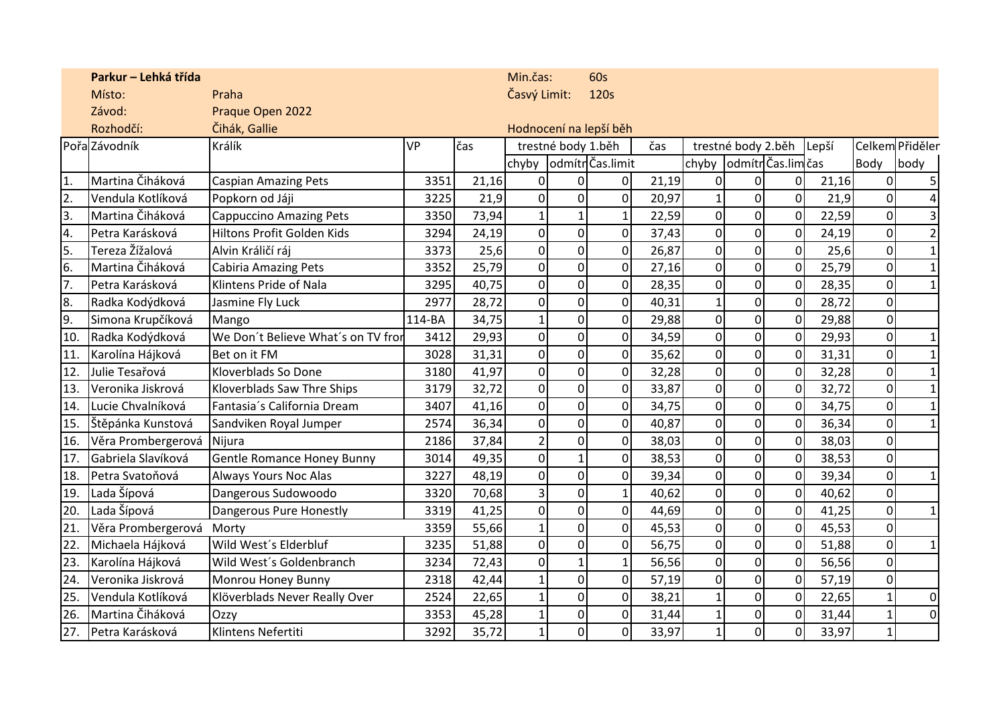|                                    | Parkur - Lehká třída |                                    |           |       | Min.čas:         |                    | 60s                    |       |                |                    |                        |       |                |                 |
|------------------------------------|----------------------|------------------------------------|-----------|-------|------------------|--------------------|------------------------|-------|----------------|--------------------|------------------------|-------|----------------|-----------------|
|                                    | Místo:               | Praha                              |           |       | Časvý Limit:     |                    | 120s                   |       |                |                    |                        |       |                |                 |
|                                    | Závod:               | Praque Open 2022                   |           |       |                  |                    |                        |       |                |                    |                        |       |                |                 |
|                                    | Rozhodčí:            | Čihák, Gallie                      |           |       |                  |                    | Hodnocení na lepší běh |       |                |                    |                        |       |                |                 |
|                                    | PořaZávodník         | Králík                             | <b>VP</b> | čas   |                  | trestné body 1.běh |                        | čas   |                | trestné body 2.běh |                        | Lepší |                | Celkem Přiděler |
|                                    |                      |                                    |           |       |                  |                    | chyby odmítričas.limit |       |                |                    | chyby odmítrcas.limcas |       | Body           | body            |
| $\overline{1}$ .                   | Martina Čiháková     | <b>Caspian Amazing Pets</b>        | 3351      | 21,16 | $\mathbf 0$      | $\Omega$           | $\overline{0}$         | 21,19 | 0              |                    | $\overline{0}$         | 21,16 | ΩI             |                 |
| $\frac{2}{3}$                      | Vendula Kotlíková    | Popkorn od Jáji                    | 3225      | 21,9  | $\pmb{0}$        | $\Omega$           | 0                      | 20,97 | $\mathbf{1}$   | 0                  | $\mathbf 0$            | 21,9  | Οl             |                 |
|                                    | Martina Čiháková     | <b>Cappuccino Amazing Pets</b>     | 3350      | 73,94 | $\mathbf 1$      |                    | $\mathbf{1}$           | 22,59 | 0              | $\mathbf 0$        | $\mathbf 0$            | 22,59 | $\Omega$       |                 |
| $\frac{4}{5}$ .<br>$\frac{6}{7}$ . | Petra Karásková      | Hiltons Profit Golden Kids         | 3294      | 24,19 | $\mathbf 0$      | $\overline{0}$     | 0                      | 37,43 | 0              | $\mathbf 0$        | $\mathbf 0$            | 24,19 | $\Omega$       | $\overline{2}$  |
|                                    | Tereza Žížalová      | Alvin Králičí ráj                  | 3373      | 25,6  | $\mathbf 0$      | $\Omega$           | 0                      | 26,87 | 0              | 0                  | $\mathbf 0$            | 25,6  | $\overline{0}$ |                 |
|                                    | Martina Čiháková     | <b>Cabiria Amazing Pets</b>        | 3352      | 25,79 | $\boldsymbol{0}$ | $\overline{0}$     | $\overline{0}$         | 27,16 | 0              | $\mathbf 0$        | $\boldsymbol{0}$       | 25,79 | $\Omega$       |                 |
|                                    | Petra Karásková      | Klintens Pride of Nala             | 3295      | 40,75 | $\mathbf 0$      | $\Omega$           | 0                      | 28,35 | 0              | $\mathbf 0$        | $\mathbf 0$            | 28,35 | $\Omega$       |                 |
| ο.                                 | Radka Kodýdková      | Jasmine Fly Luck                   | 2977      | 28,72 | $\mathbf 0$      | $\overline{0}$     | 0                      | 40,31 | $\mathbf{1}$   | $\mathbf 0$        | $\boldsymbol{0}$       | 28,72 | $\Omega$       |                 |
| 9.                                 | Simona Krupčíková    | Mango                              | 114-BA    | 34,75 | $\mathbf 1$      | $\Omega$           | 0                      | 29,88 | 0              | $\mathbf 0$        | $\mathbf 0$            | 29,88 | Οl             |                 |
| 10.                                | Radka Kodýdková      | We Don't Believe What's on TV fror | 3412      | 29,93 | $\boldsymbol{0}$ | 0                  | 0                      | 34,59 | 0              | $\mathbf 0$        | $\pmb{0}$              | 29,93 | $\overline{0}$ |                 |
| 11.                                | Karolína Hájková     | Bet on it FM                       | 3028      | 31,31 | $\mathbf 0$      | $\Omega$           | 0                      | 35,62 | 0              | $\mathbf 0$        | $\mathbf 0$            | 31,31 | $\overline{0}$ |                 |
| 12.                                | Julie Tesařová       | Kloverblads So Done                | 3180      | 41,97 | $\overline{0}$   | $\Omega$           | 0                      | 32,28 | $\overline{0}$ | $\Omega$           | $\mathbf 0$            | 32,28 | $\Omega$       |                 |
| 13.                                | Veronika Jiskrová    | Kloverblads Saw Thre Ships         | 3179      | 32,72 | $\mathbf 0$      | $\Omega$           | 0                      | 33,87 | 0              | $\Omega$           | $\pmb{0}$              | 32,72 | Οl             |                 |
| 14.                                | Lucie Chvalníková    | Fantasia's California Dream        | 3407      | 41,16 | $\boldsymbol{0}$ | $\overline{0}$     | 0                      | 34,75 | 0              | $\Omega$           | $\pmb{0}$              | 34,75 | $\Omega$       |                 |
| 15.                                | Štěpánka Kunstová    | Sandviken Royal Jumper             | 2574      | 36,34 | $\pmb{0}$        | $\Omega$           | 0                      | 40,87 | 0              | $\Omega$           | $\pmb{0}$              | 36,34 | $\Omega$       |                 |
| 16.                                | Věra Prombergerová   | Nijura                             | 2186      | 37,84 | $\overline{2}$   | $\Omega$           | 0                      | 38,03 | 0              | $\mathbf 0$        | $\mathbf 0$            | 38,03 | $\Omega$       |                 |
| 17.                                | Gabriela Slavíková   | Gentle Romance Honey Bunny         | 3014      | 49,35 | $\pmb{0}$        | 1                  | $\overline{0}$         | 38,53 | 0              | 0                  | $\boldsymbol{0}$       | 38,53 | $\overline{0}$ |                 |
| 18.                                | Petra Svatoňová      | <b>Always Yours Noc Alas</b>       | 3227      | 48,19 | $\mathbf 0$      | $\Omega$           | $\overline{0}$         | 39,34 | 0              | $\mathbf 0$        | $\overline{0}$         | 39,34 | $\overline{0}$ |                 |
| 19.                                | Lada Šípová          | Dangerous Sudowoodo                | 3320      | 70,68 | 3                | $\overline{0}$     | $\mathbf{1}$           | 40,62 | 0              | $\Omega$           | $\boldsymbol{0}$       | 40,62 | $\Omega$       |                 |
| 20.                                | Lada Šípová          | Dangerous Pure Honestly            | 3319      | 41,25 | $\mathbf 0$      | $\Omega$           | $\overline{0}$         | 44,69 | 0              | $\Omega$           | $\mathbf 0$            | 41,25 | $\Omega$       |                 |
| 21.                                | Věra Prombergerová   | Morty                              | 3359      | 55,66 | $\mathbf 1$      | $\overline{0}$     | $\overline{0}$         | 45,53 | 0              | $\mathbf 0$        | $\boldsymbol{0}$       | 45,53 | $\Omega$       |                 |
| 22.                                | Michaela Hájková     | Wild West's Elderbluf              | 3235      | 51,88 | $\mathbf 0$      | $\Omega$           | 0                      | 56,75 | 0              | $\mathbf 0$        | $\mathbf 0$            | 51,88 | $\Omega$       |                 |
| 23.                                | Karolína Hájková     | Wild West's Goldenbranch           | 3234      | 72,43 | $\mathbf 0$      | 1                  | $\mathbf{1}$           | 56,56 | 0              | $\mathbf 0$        | $\mathbf 0$            | 56,56 | $\Omega$       |                 |
| 24.                                | Veronika Jiskrová    | Monrou Honey Bunny                 | 2318      | 42,44 | $\mathbf{1}$     | $\Omega$           | 0                      | 57,19 | 0              | 0                  | $\mathbf 0$            | 57,19 | $\overline{0}$ |                 |
| 25.                                | Vendula Kotlíková    | Klöverblads Never Really Over      | 2524      | 22,65 | $\mathbf{1}$     | $\overline{0}$     | $\overline{0}$         | 38,21 |                | $\mathbf 0$        | $\boldsymbol{0}$       | 22,65 | $\mathbf{1}$   |                 |
| 26.                                | Martina Čiháková     | Ozzy                               | 3353      | 45,28 | $\mathbf 1$      | $\overline{0}$     | 0                      | 31,44 | 1              | $\mathbf 0$        | $\overline{0}$         | 31,44 | $\mathbf{1}$   |                 |
| 27.                                | Petra Karásková      | Klintens Nefertiti                 | 3292      | 35,72 | $\mathbf{1}$     | $\overline{0}$     | $\mathbf 0$            | 33,97 | $\mathbf{1}$   | 0                  | $\boldsymbol{0}$       | 33,97 | $\mathbf{1}$   |                 |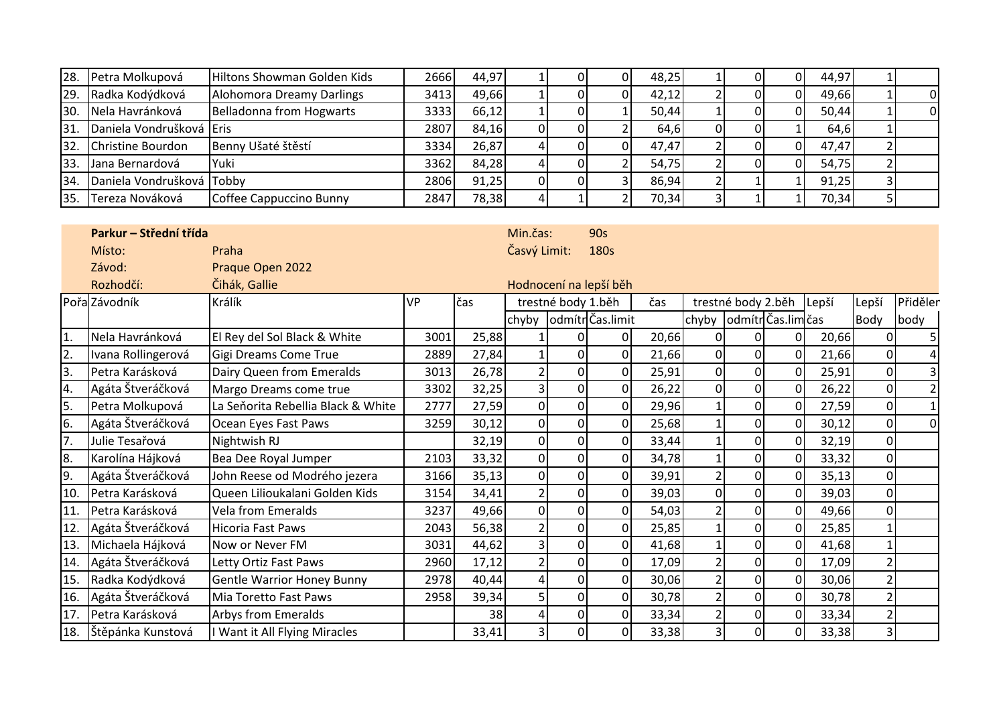| 28.  | Petra Molkupová           | Hiltons Showman Golden Kids | 2666 | 44,97 |  | 48,25 |  | 44,97 |  |
|------|---------------------------|-----------------------------|------|-------|--|-------|--|-------|--|
| 29.  | Radka Kodýdková           | Alohomora Dreamy Darlings   | 3413 | 49,66 |  | 42,12 |  | 49,66 |  |
| 30.  | Nela Havránková           | Belladonna from Hogwarts    | 3333 | 66,12 |  | 50,44 |  | 50,44 |  |
| I31. | Daniela Vondrušková Eris  |                             | 2807 | 84,16 |  | 64,6  |  | 64,6  |  |
| 32.  | Christine Bourdon         | Benny Ušaté štěstí          | 3334 | 26,87 |  | 47,47 |  | 47,47 |  |
| 33.  | Jana Bernardová           | lYuki                       | 3362 | 84,28 |  | 54,75 |  | 54,75 |  |
| 34.  | Daniela Vondrušková Tobby |                             | 2806 | 91,25 |  | 86,94 |  | 91,25 |  |
| 35.  | Tereza Nováková           | Coffee Cappuccino Bunny     | 2847 | 78,38 |  | 70,34 |  | 70,34 |  |

|                  | Parkur – Střední třída |                                    |           |       | Min.čas:       |                    | 90s                    |       |                |                        |                |       |                |          |
|------------------|------------------------|------------------------------------|-----------|-------|----------------|--------------------|------------------------|-------|----------------|------------------------|----------------|-------|----------------|----------|
|                  | Místo:                 | Praha                              |           |       | Časvý Limit:   |                    | 180s                   |       |                |                        |                |       |                |          |
|                  | Závod:                 | Praque Open 2022                   |           |       |                |                    |                        |       |                |                        |                |       |                |          |
|                  | Rozhodčí:              | Čihák, Gallie                      |           |       |                |                    | Hodnocení na lepší běh |       |                |                        |                |       |                |          |
|                  | PořaZávodník           | Králík                             | <b>VP</b> | čas   |                | trestné body 1.běh |                        | čas   |                | trestné body 2.běh     |                | Lepší | Lepší          | Přiděler |
|                  |                        |                                    |           |       | chyby          |                    | odmítrČas.limit        |       |                | chyby odmítrcas.limcas |                |       | Body           | body     |
| 1.               | Nela Havránková        | El Rey del Sol Black & White       | 3001      | 25,88 |                |                    | $\Omega$               | 20,66 | 01             |                        | ΩI             | 20,66 |                |          |
| 2.               | Ivana Rollingerová     | Gigi Dreams Come True              | 2889      | 27,84 | 1              |                    | $\Omega$               | 21,66 | $\Omega$       | 0                      | $\overline{0}$ | 21,66 | 01             |          |
| 3.               | Petra Karásková        | Dairy Queen from Emeralds          | 3013      | 26,78 | $\overline{2}$ |                    | $\Omega$               | 25,91 | 0              | 0                      | $\overline{0}$ | 25,91 | $\overline{0}$ |          |
| $\boldsymbol{4}$ | Agáta Štveráčková      | Margo Dreams come true             | 3302      | 32,25 | $\overline{3}$ |                    | $\Omega$               | 26,22 | $\overline{0}$ | $\Omega$               | $\overline{0}$ | 26,22 | $\Omega$       |          |
| 5.               | Petra Molkupová        | La Seňorita Rebellia Black & White | 2777      | 27,59 | $\Omega$       |                    | $\Omega$               | 29,96 |                | $\Omega$               | $\overline{0}$ | 27,59 | $\Omega$       |          |
| 6.               | Agáta Štveráčková      | Ocean Eyes Fast Paws               | 3259      | 30,12 | $\overline{0}$ |                    | $\Omega$               | 25,68 |                | $\Omega$               | $\overline{0}$ | 30,12 | $\Omega$       |          |
| 7.               | Julie Tesařová         | Nightwish RJ                       |           | 32,19 | $\overline{0}$ |                    | 0                      | 33,44 |                |                        | $\overline{0}$ | 32,19 | $\overline{0}$ |          |
| 8.               | Karolína Hájková       | Bea Dee Royal Jumper               | 2103      | 33,32 | $\Omega$       |                    | $\Omega$               | 34,78 |                |                        | $\overline{0}$ | 33,32 | $\Omega$       |          |
| $\overline{9}$   | Agáta Štveráčková      | John Reese od Modrého jezera       | 3166      | 35,13 | $\overline{0}$ | 0                  | $\Omega$               | 39,91 | 2              | 0                      | $\overline{0}$ | 35,13 | $\overline{0}$ |          |
| 10.              | Petra Karásková        | Queen Lilioukalani Golden Kids     | 3154      | 34,41 | $\overline{2}$ |                    | $\overline{0}$         | 39,03 | 0              | 0                      | $\overline{0}$ | 39,03 | $\overline{0}$ |          |
| 11.              | Petra Karásková        | Vela from Emeralds                 | 3237      | 49,66 | $\overline{0}$ |                    | $\Omega$               | 54,03 |                | 0                      | $\overline{0}$ | 49,66 | $\overline{0}$ |          |
| 12.              | Agáta Štveráčková      | <b>Hicoria Fast Paws</b>           | 2043      | 56,38 | $\overline{2}$ | 0                  | $\Omega$               | 25,85 |                | $\Omega$               | $\overline{0}$ | 25,85 |                |          |
| 13.              | Michaela Hájková       | Now or Never FM                    | 3031      | 44,62 | $\vert$ 3      | 0                  | $\Omega$               | 41,68 |                | $\Omega$               | $\Omega$       | 41,68 |                |          |
| 14.              | Agáta Štveráčková      | Letty Ortiz Fast Paws              | 2960      | 17,12 | $\overline{2}$ |                    | $\Omega$               | 17,09 |                | 0                      | $\overline{0}$ | 17,09 |                |          |
| 15.              | Radka Kodýdková        | <b>Gentle Warrior Honey Bunny</b>  | 2978      | 40,44 | 4              |                    | $\Omega$               | 30,06 |                |                        | $\overline{0}$ | 30,06 |                |          |
| 16.              | Agáta Štveráčková      | Mia Toretto Fast Paws              | 2958      | 39,34 | 5 <sup>1</sup> |                    | $\Omega$               | 30,78 | 2              | $\Omega$               | $\overline{0}$ | 30,78 |                |          |
| 17.              | Petra Karásková        | <b>Arbys from Emeralds</b>         |           | 38    | 4              |                    | $\Omega$               | 33,34 |                |                        | $\overline{0}$ | 33,34 |                |          |
|                  | 18. Štěpánka Kunstová  | <b>Want it All Flying Miracles</b> |           | 33,41 | $\overline{3}$ | $\Omega$           | $\Omega$               | 33,38 | 3              | 01                     | $\overline{0}$ | 33,38 | 3 <sup>1</sup> |          |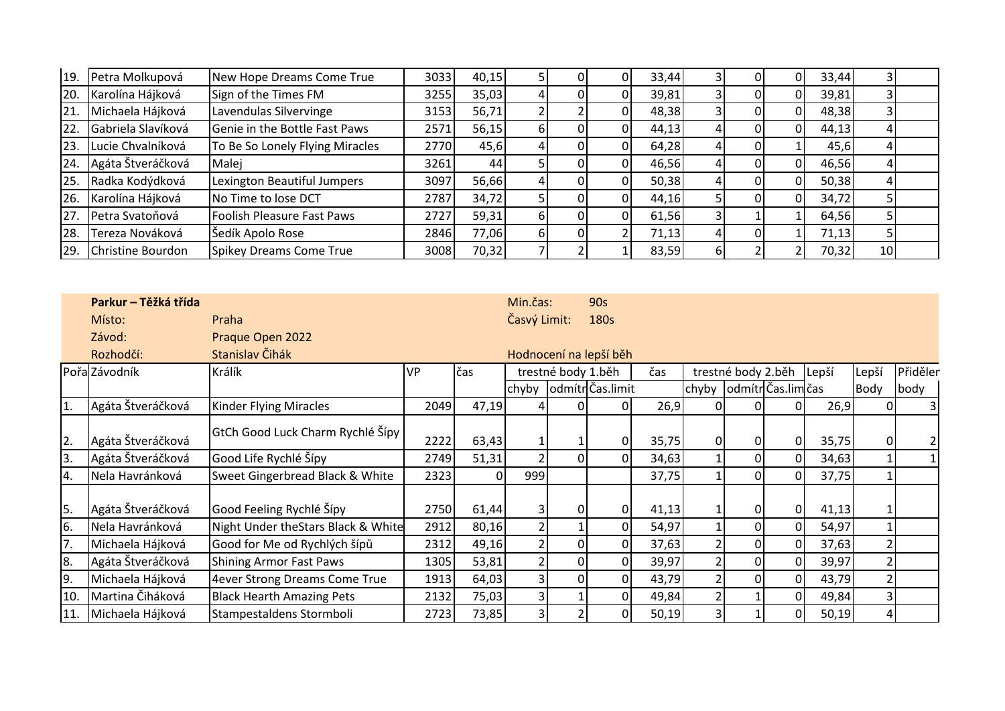| 19. | Petra Molkupová    | New Hope Dreams Come True       | 3033 | 40,15 |     |  | 33,44 |   |  | 33,44 |                 |  |
|-----|--------------------|---------------------------------|------|-------|-----|--|-------|---|--|-------|-----------------|--|
| 20. | Karolína Hájková   | Sign of the Times FM            | 3255 | 35,03 |     |  | 39,81 |   |  | 39,81 |                 |  |
| 21. | Michaela Hájková   | Lavendulas Silvervinge          | 3153 | 56,71 |     |  | 48,38 |   |  | 48,38 |                 |  |
| 22. | Gabriela Slavíková | Genie in the Bottle Fast Paws   | 2571 | 56,15 | h I |  | 44,13 |   |  | 44,13 |                 |  |
| 23. | Lucie Chvalníková  | To Be So Lonely Flying Miracles | 2770 | 45,6  |     |  | 64,28 |   |  | 45,6  |                 |  |
| 24. | Agáta Štveráčková  | Malej                           | 3261 | 44    |     |  | 46,56 |   |  | 46,56 |                 |  |
| 25. | Radka Kodýdková    | Lexington Beautiful Jumpers     | 3097 | 56,66 |     |  | 50,38 |   |  | 50,38 |                 |  |
| 26. | Karolína Hájková   | No Time to lose DCT             | 2787 | 34,72 |     |  | 44,16 |   |  | 34,72 |                 |  |
| 27. | Petra Svatoňová    | Foolish Pleasure Fast Paws      | 2727 | 59,31 | hl  |  | 61,56 |   |  | 64,56 |                 |  |
| 28. | Tereza Nováková    | Šedík Apolo Rose                | 2846 | 77,06 |     |  | 71,13 |   |  | 71,13 |                 |  |
| 29. | Christine Bourdon  | Spikey Dreams Come True         | 3008 | 70,32 |     |  | 83,59 | ы |  | 70,32 | 10 <sub>1</sub> |  |

| Pořa Závodník<br>1. | Místo:<br>Závod:<br>Rozhodčí:<br>Agáta Štveráčková | Praha<br>Praque Open 2022<br>Stanislav Čihák<br>Králík | VP   |       | Časvý Limit:<br>Hodnocení na lepší běh |                    | 180s             |       |       |                    |                  |       |                |          |
|---------------------|----------------------------------------------------|--------------------------------------------------------|------|-------|----------------------------------------|--------------------|------------------|-------|-------|--------------------|------------------|-------|----------------|----------|
|                     |                                                    |                                                        |      |       |                                        |                    |                  |       |       |                    |                  |       |                |          |
|                     |                                                    |                                                        |      |       |                                        |                    |                  |       |       |                    |                  |       |                |          |
|                     |                                                    |                                                        |      |       |                                        |                    |                  |       |       |                    |                  |       |                |          |
|                     |                                                    |                                                        |      | čas   |                                        | trestné body 1.běh |                  | čas   |       | trestné body 2.běh |                  | Lepší | Lepší          | Přiděler |
|                     |                                                    |                                                        |      |       | chyby                                  |                    | odmítr Čas.limit |       | chyby |                    | odmítrcas.limcas |       | <b>Body</b>    | body     |
|                     |                                                    | Kinder Flying Miracles                                 | 2049 | 47,19 | 4                                      |                    | 01               | 26,9  |       | 0                  | ΩI               | 26,9  | 0              |          |
| 2.                  | Agáta Štveráčková                                  | GtCh Good Luck Charm Rychlé Šípy                       | 2222 | 63,43 |                                        |                    | 01               | 35,75 | 01    | 0                  |                  | 35,75 |                |          |
| 3.                  | Agáta Štveráčková                                  | Good Life Rychlé Šípy                                  | 2749 | 51,31 | $\overline{2}$                         |                    | 01               | 34,63 |       | 0                  | 01               | 34,63 |                |          |
| 4.                  | Nela Havránková                                    | Sweet Gingerbread Black & White                        | 2323 | 01    | 999                                    |                    |                  | 37,75 |       | 0                  | 01               | 37,75 |                |          |
| 5.                  | Agáta Štveráčková                                  | Good Feeling Rychlé Šípy                               | 2750 | 61,44 | 3                                      |                    | $\overline{0}$   | 41,13 |       | 0                  |                  | 41,13 |                |          |
| l6.                 | Nela Havránková                                    | Night Under theStars Black & White                     | 2912 | 80,16 | $\overline{2}$                         |                    | $\overline{0}$   | 54,97 |       | 0                  |                  | 54,97 |                |          |
| 7.                  | Michaela Hájková                                   | Good for Me od Rychlých šípů                           | 2312 | 49,16 | $\overline{2}$                         |                    | 01               | 37,63 |       | $\overline{0}$     |                  | 37,63 |                |          |
| 88.                 | Agáta Štveráčková                                  | <b>Shining Armor Fast Paws</b>                         | 1305 | 53,81 | $\overline{2}$                         |                    | 01               | 39,97 |       | 0                  | 01               | 39,97 |                |          |
| 19.                 | Michaela Hájková                                   | <b>4ever Strong Dreams Come True</b>                   | 1913 | 64,03 | $\overline{3}$                         |                    | $\Omega$         | 43,79 |       | 0                  |                  | 43,79 | $\overline{2}$ |          |
| 10.                 | Martina Čiháková                                   | <b>Black Hearth Amazing Pets</b>                       | 2132 | 75,03 | $\overline{3}$                         |                    | ΩI               | 49,84 |       |                    |                  | 49,84 | 3 <sub>l</sub> |          |
| 11                  | Michaela Hájková                                   | Stampestaldens Stormboli                               | 2723 | 73,85 | 3                                      |                    | $\overline{0}$   | 50,19 |       | 1                  | ΩI               | 50,19 | 4              |          |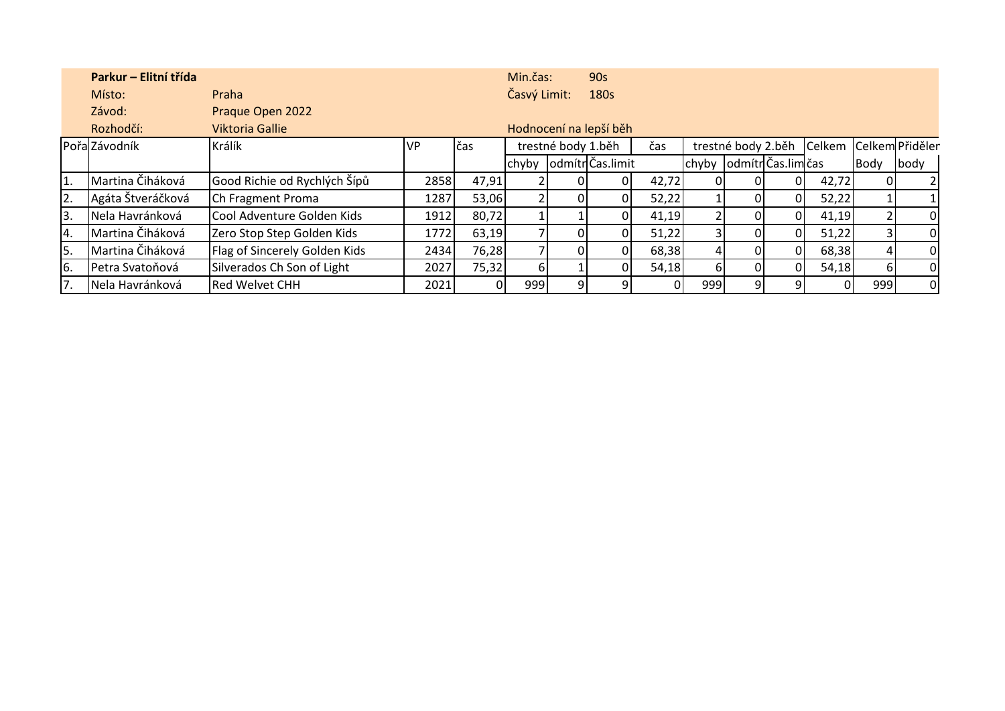|                | Parkur – Elitní třída |                                                  |      |       | Min.čas:     |                    | 90s                     |       |                         |  |    |               |      |                 |
|----------------|-----------------------|--------------------------------------------------|------|-------|--------------|--------------------|-------------------------|-------|-------------------------|--|----|---------------|------|-----------------|
|                | Místo:                | Praha                                            |      |       | Časvý Limit: |                    | 180s                    |       |                         |  |    |               |      |                 |
|                | Závod:                | Praque Open 2022                                 |      |       |              |                    |                         |       |                         |  |    |               |      |                 |
|                | Rozhodčí:             | <b>Viktoria Gallie</b><br>Hodnocení na lepší běh |      |       |              |                    |                         |       |                         |  |    |               |      |                 |
|                | PořaZávodník          | Králík                                           | lVP  | čas   |              | trestné body 1.běh |                         | čas   | trestné body 2.běh      |  |    | <b>Celkem</b> |      | Celkem Přiděler |
|                |                       |                                                  |      |       | chyby        |                    | odmítr <b>Čas.limit</b> |       | chyby odmítričas.limcas |  |    |               | Body | body            |
| 1.             | Martina Čiháková      | Good Richie od Rychlých Šípů                     | 2858 | 47,91 |              |                    |                         | 42,72 |                         |  |    | 42,72         | O I  |                 |
| $\overline{2}$ | Agáta Štveráčková     | Ch Fragment Proma                                | 1287 | 53,06 |              | ΟI                 | ΩI                      | 52,22 |                         |  | 0  | 52,22         |      |                 |
| 3.             | Nela Havránková       | Cool Adventure Golden Kids                       | 1912 | 80,72 |              |                    | 01                      | 41,19 |                         |  | 01 | 41,19         |      |                 |
| 4.             | Martina Čiháková      | Zero Stop Step Golden Kids                       | 1772 | 63,19 |              |                    | ΩI                      | 51,22 |                         |  | 0  | 51,22         | 31   |                 |
| 5.             | Martina Čiháková      | Flag of Sincerely Golden Kids                    | 2434 | 76,28 |              | $\Omega$           | 01                      | 68,38 | 41                      |  | 0I | 68,38         | 41   |                 |
| 6.             | Petra Svatoňová       | Silverados Ch Son of Light                       | 2027 | 75,32 | 6            |                    | ΩI                      | 54,18 | 61                      |  |    | 54,18         | b    |                 |
| 7.             | Nela Havránková       | <b>Red Welvet CHH</b>                            | 2021 | ΟI    | 999          | ۹۱                 | 91                      | ΟI    | 999                     |  | 9  |               | 999  |                 |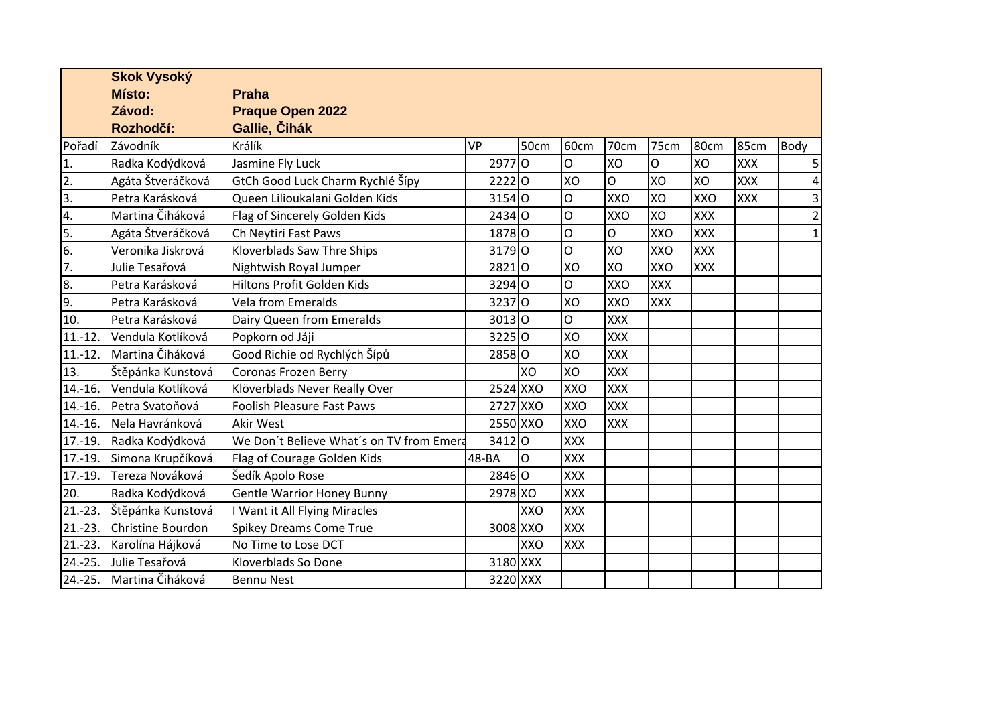|                  | <b>Skok Vysoký</b> |                                          |                      |      |            |            |            |            |            |                         |  |  |
|------------------|--------------------|------------------------------------------|----------------------|------|------------|------------|------------|------------|------------|-------------------------|--|--|
|                  | Místo:             | <b>Praha</b>                             |                      |      |            |            |            |            |            |                         |  |  |
|                  | Závod:             | <b>Praque Open 2022</b>                  |                      |      |            |            |            |            |            |                         |  |  |
|                  | Rozhodčí:          | Gallie, Čihák                            |                      |      |            |            |            |            |            |                         |  |  |
| Pořadí           | Závodník           | Králík                                   | <b>VP</b>            | 50cm | 60cm       | 70cm       | 75cm       | 80cm       | 85cm       | Body                    |  |  |
| $\overline{1}$ . | Radka Kodýdková    | Jasmine Fly Luck                         | 2977 <sub>0</sub>    |      | O          | XO         | O          | XO         | <b>XXX</b> | 5 <sup>1</sup>          |  |  |
| $\overline{2}$ . | Agáta Štveráčková  | GtCh Good Luck Charm Rychlé Šípy         | 22220                |      | XO         | $\circ$    | XO         | XO         | <b>XXX</b> | $\vert 4 \vert$         |  |  |
| 3.               | Petra Karásková    | Queen Lilioukalani Golden Kids           | 3154O                |      | $\circ$    | <b>XXO</b> | XO         | <b>XXO</b> | <b>XXX</b> | $\overline{\mathbf{3}}$ |  |  |
| 4.               | Martina Čiháková   | Flag of Sincerely Golden Kids            | 2434 O               |      | lo         | <b>XXO</b> | XO         | <b>XXX</b> |            | $\overline{2}$          |  |  |
| 5.               | Agáta Štveráčková  | Ch Neytiri Fast Paws                     | 1878 O               |      | $\circ$    | $\circ$    | <b>XXO</b> | <b>XXX</b> |            | $1\vert$                |  |  |
| 6.               | Veronika Jiskrová  | Kloverblads Saw Thre Ships               | 3179 <sub>0</sub>    |      | $\circ$    | XO         | <b>XXO</b> | <b>XXX</b> |            |                         |  |  |
| 7.               | Julie Tesařová     | Nightwish Royal Jumper                   | 28210                |      | XO         | lxo        | <b>XXO</b> | <b>XXX</b> |            |                         |  |  |
| 8.               | Petra Karásková    | Hiltons Profit Golden Kids               | 3294O                |      | $\circ$    | <b>XXO</b> | <b>XXX</b> |            |            |                         |  |  |
| 9.               | Petra Karásková    | <b>Vela from Emeralds</b>                | 32370                |      | <b>XO</b>  | <b>XXO</b> | <b>XXX</b> |            |            |                         |  |  |
| 10.              | Petra Karásková    | Dairy Queen from Emeralds                | $3013$ <sub>IO</sub> |      | $\circ$    | <b>XXX</b> |            |            |            |                         |  |  |
| $11.-12.$        | Vendula Kotlíková  | Popkorn od Jáji                          | 3225 <b>0</b>        |      | XO         | <b>XXX</b> |            |            |            |                         |  |  |
| $11.-12.$        | Martina Čiháková   | Good Richie od Rychlých Šípů             | 28580                |      | XO         | <b>XXX</b> |            |            |            |                         |  |  |
| 13.              | Štěpánka Kunstová  | Coronas Frozen Berry                     |                      | XO   | <b>XO</b>  | <b>XXX</b> |            |            |            |                         |  |  |
| $14.-16.$        | Vendula Kotlíková  | Klöverblads Never Really Over            | 2524 XXO             |      | <b>XXO</b> | <b>XXX</b> |            |            |            |                         |  |  |
| $14.-16.$        | Petra Svatoňová    | Foolish Pleasure Fast Paws               | 2727 XXO             |      | <b>XXO</b> | <b>XXX</b> |            |            |            |                         |  |  |
| $14.-16.$        | Nela Havránková    | <b>Akir West</b>                         | 2550 XXO             |      | <b>XXO</b> | <b>XXX</b> |            |            |            |                         |  |  |
| $17.-19.$        | Radka Kodýdková    | We Don't Believe What's on TV from Emera | 34120                |      | <b>XXX</b> |            |            |            |            |                         |  |  |
| 17.-19.          | Simona Krupčíková  | Flag of Courage Golden Kids              | 48-BA                | O    | <b>XXX</b> |            |            |            |            |                         |  |  |
| $17.-19.$        | Tereza Nováková    | Šedík Apolo Rose                         | 2846 O               |      | <b>XXX</b> |            |            |            |            |                         |  |  |
| 20.              | Radka Kodýdková    | <b>Gentle Warrior Honey Bunny</b>        | 2978 XO              |      | <b>XXX</b> |            |            |            |            |                         |  |  |
| $21.-23.$        | Štěpánka Kunstová  | I Want it All Flying Miracles            |                      | XXO  | <b>XXX</b> |            |            |            |            |                         |  |  |
| $21.-23.$        | Christine Bourdon  | <b>Spikey Dreams Come True</b>           | 3008 XXO             |      | <b>XXX</b> |            |            |            |            |                         |  |  |
| $21.-23.$        | Karolína Hájková   | No Time to Lose DCT                      |                      | XXO  | <b>XXX</b> |            |            |            |            |                         |  |  |
| $24.-25.$        | Julie Tesařová     | Kloverblads So Done                      | 3180 XXX             |      |            |            |            |            |            |                         |  |  |
| $24.-25.$        | Martina Čiháková   | <b>Bennu Nest</b>                        | 3220 XXX             |      |            |            |            |            |            |                         |  |  |